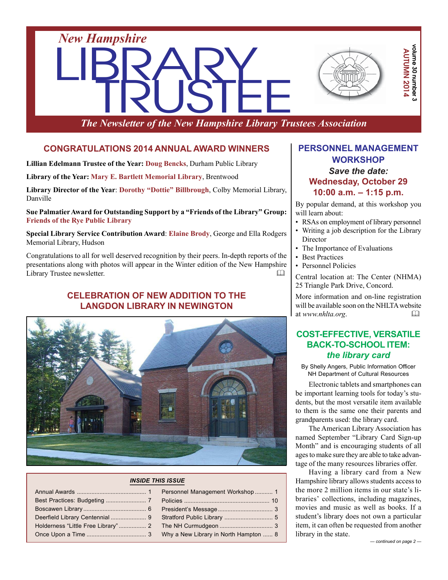

*The Newsletter of the New Hampshire Library Trustees Association*

### **CONGRATULATIONS 2014 ANNUAL AWARD WINNERS**

**Lillian Edelmann Trustee of the Year: Doug Bencks**, Durham Public Library

**Library of the Year: Mary E. Bartlett Memorial Library**, Brentwood

**Library Director of the Year**: **Dorothy "Dottie" Billbrough**, Colby Memorial Library, Danville

**Sue Palmatier Award for Outstanding Support by a "Friends of the Library" Group: Friends of the Rye Public Library**

**Special Library Service Contribution Award**: **Elaine Brody**, George and Ella Rodgers Memorial Library, Hudson

Congratulations to all for well deserved recognition by their peers. In-depth reports of the presentations along with photos will appear in the Winter edition of the New Hampshire Library Trustee newsletter. 

### **CELEBRATION OF NEW ADDITION TO THE LANGDON LIBRARY IN NEWINGTON**



#### *INSIDE THIS ISSUE*

| Personnel Management Workshop  1      |
|---------------------------------------|
|                                       |
|                                       |
|                                       |
|                                       |
| Why a New Library in North Hampton  8 |

### **PERSONNEL MANAGEMENT WORKSHOP** *Save the date:* **Wednesday, October 29 10:00 a.m. – 1:15 p.m.**

By popular demand, at this workshop you will learn about:

- RSAs on employment of library personnel
- Writing a job description for the Library **Director**
- The Importance of Evaluations
- Best Practices
- Personnel Policies

Central location at: The Center (NHMA) 25 Triangle Park Drive, Concord.

More information and on-line registration will be available soon on the NHLTA website at *www.nhlta.org*. 

### **COST-EFFECTIVE, VERSATILE BACK-TO-SCHOOL ITEM:** *the library card*

By Shelly Angers, Public Information Officer NH Department of Cultural Resources

Electronic tablets and smartphones can be important learning tools for today's students, but the most versatile item available to them is the same one their parents and grandparents used: the library card.

The American Library Association has named September "Library Card Sign-up Month" and is encouraging students of all ages to make sure they are able to take advantage of the many resources libraries offer.

Having a library card from a New Hampshire library allows students access to the more 2 million items in our state's libraries' collections, including magazines, movies and music as well as books. If a student's library does not own a particular item, it can often be requested from another library in the state.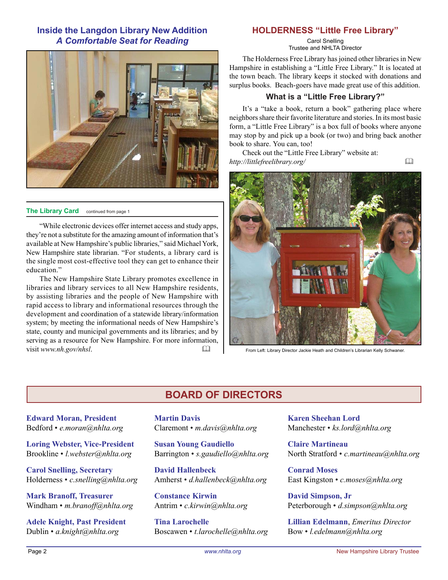### **Inside the Langdon Library New Addition** *A Comfortable Seat for Reading*



#### **The Library Card** continued from page 1

"While electronic devices offer internet access and study apps, they're not a substitute for the amazing amount of information that's available at New Hampshire's public libraries," said Michael York, New Hampshire state librarian. "For students, a library card is the single most cost-effective tool they can get to enhance their education."

The New Hampshire State Library promotes excellence in libraries and library services to all New Hampshire residents, by assisting libraries and the people of New Hampshire with rapid access to library and informational resources through the development and coordination of a statewide library/information system; by meeting the informational needs of New Hampshire's state, county and municipal governments and its libraries; and by serving as a resource for New Hampshire. For more information, visit *www.nh.gov/nhsl*. 

#### **HOLDERNESS "Little Free Library"**

Carol Snelling Trustee and NHLTA Director

The Holderness Free Library has joined other libraries in New Hampshire in establishing a "Little Free Library." It is located at the town beach. The library keeps it stocked with donations and surplus books. Beach-goers have made great use of this addition.

#### **What is a "Little Free Library?"**

It's a "take a book, return a book" gathering place where neighbors share their favorite literature and stories. In its most basic form, a "Little Free Library" is a box full of books where anyone may stop by and pick up a book (or two) and bring back another book to share. You can, too!

Check out the "Little Free Library" website at: *http://littlefreelibrary.org/* 



From Left: Library Director Jackie Heath and Children's Librarian Kelly Schwaner.

### **BOARD OF DIRECTORS**

**Edward Moran, President** Bedford • *e.moran@nhlta.org*

**Loring Webster, Vice-President** Brookline • *l.webster@nhlta.org*

**Carol Snelling, Secretary** Holderness • *c.snelling@nhlta.org*

**Mark Branoff, Treasurer** Windham • *m.branoff@nhlta.org*

**Adele Knight, Past President** Dublin • *a.knight@nhlta.org*

**Martin Davis** Claremont • *m.davis@nhlta.org*

**Susan Young Gaudiello** Barrington • *s.gaudiello@nhlta.org*

**David Hallenbeck** Amherst • *d.hallenbeck@nhlta.org*

**Constance Kirwin** Antrim • *c.kirwin@nhlta.org*

**Tina Larochelle** Boscawen • *t.larochelle@nhlta.org* **Karen Sheehan Lord** Manchester • *ks.lord@nhlta.org*

**Claire Martineau** North Stratford • *c.martineau@nhlta.org*

**Conrad Moses** East Kingston • *c.moses@nhlta.org*

**David Simpson, Jr** Peterborough • *d.simpson@nhlta.org*

**Lillian Edelmann**, *Emeritus Director* Bow • *l.edelmann@nhlta.org*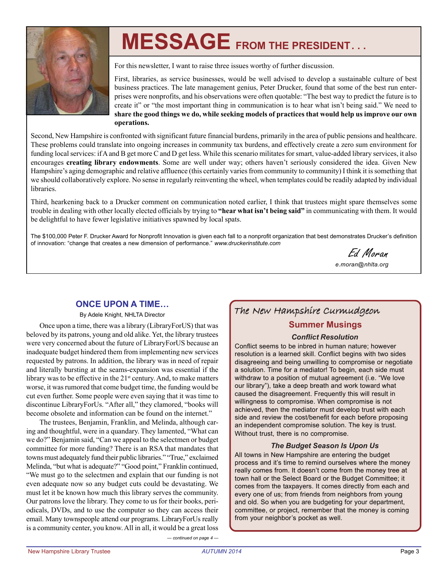

# **MESSAGE FROM THE PRESIDENT. . .**

For this newsletter, I want to raise three issues worthy of further discussion.

First, libraries, as service businesses, would be well advised to develop a sustainable culture of best business practices. The late management genius, Peter Drucker, found that some of the best run enterprises were nonprofits, and his observations were often quotable: "The best way to predict the future is to create it" or "the most important thing in communication is to hear what isn't being said." We need to **share the good things we do, while seeking models of practices that would help us improve our own operations.**

Second, New Hampshire is confronted with significant future financial burdens, primarily in the area of public pensions and healthcare. These problems could translate into ongoing increases in community tax burdens, and effectively create a zero sum environment for funding local services: if A and B get more C and D get less. While this scenario militates for smart, value-added library services, it also encourages **creating library endowments**. Some are well under way; others haven't seriously considered the idea. Given New Hampshire's aging demographic and relative affluence (this certainly varies from community to community) I think it is something that we should collaboratively explore. No sense in regularly reinventing the wheel, when templates could be readily adapted by individual libraries.

Third, hearkening back to a Drucker comment on communication noted earlier, I think that trustees might spare themselves some trouble in dealing with other locally elected officials by trying to **"hear what isn't being said"** in communicating with them. It would be delightful to have fewer legislative initiatives spawned by local spats.

The \$100,000 Peter F. Drucker Award for Nonprofit Innovation is given each fall to a nonprofit organization that best demonstrates Drucker's definition of innovation: "change that creates a new dimension of performance." *www.druckerinstitute.com*

Ed Moran *e.moran@nhlta.org*

### **ONCE UPON A TIME…**

By Adele Knight, NHLTA Director

Once upon a time, there was a library (LibraryForUS) that was beloved by its patrons, young and old alike. Yet, the library trustees were very concerned about the future of LibraryForUS because an inadequate budget hindered them from implementing new services requested by patrons. In addition, the library was in need of repair and literally bursting at the seams-expansion was essential if the library was to be effective in the  $21<sup>st</sup>$  century. And, to make matters worse, it was rumored that come budget time, the funding would be cut even further. Some people were even saying that it was time to discontinue LibraryForUs. "After all," they clamored, "books will become obsolete and information can be found on the internet."

The trustees, Benjamin, Franklin, and Melinda, although caring and thoughtful, were in a quandary. They lamented, "What can we do?" Benjamin said, "Can we appeal to the selectmen or budget committee for more funding? There is an RSA that mandates that towns must adequately fund their public libraries." "True," exclaimed Melinda, "but what is adequate?" "Good point," Franklin continued, "We must go to the selectmen and explain that our funding is not even adequate now so any budget cuts could be devastating. We must let it be known how much this library serves the community. Our patrons love the library. They come to us for their books, periodicals, DVDs, and to use the computer so they can access their email. Many townspeople attend our programs. LibraryForUs really is a community center, you know. All in all, it would be a great loss

### The New Hampshire Curmudgeon

### **Summer Musings**

#### *Conflict Resolution*

Conflict seems to be inbred in human nature; however resolution is a learned skill. Conflict begins with two sides disagreeing and being unwilling to compromise or negotiate a solution. Time for a mediator! To begin, each side must withdraw to a position of mutual agreement (i.e. "We love our library"), take a deep breath and work toward what caused the disagreement. Frequently this will result in willingness to compromise. When compromise is not achieved, then the mediator must develop trust with each side and review the cost/benefit for each before proposing an independent compromise solution. The key is trust. Without trust, there is no compromise.

#### *The Budget Season Is Upon Us*

All towns in New Hampshire are entering the budget process and it's time to remind ourselves where the money really comes from. It doesn't come from the money tree at town hall or the Select Board or the Budget Committee; it comes from the taxpayers. It comes directly from each and every one of us; from friends from neighbors from young and old. So when you are budgeting for your department, committee, or project, remember that the money is coming from your neighbor's pocket as well.

*— continued on page 4 —*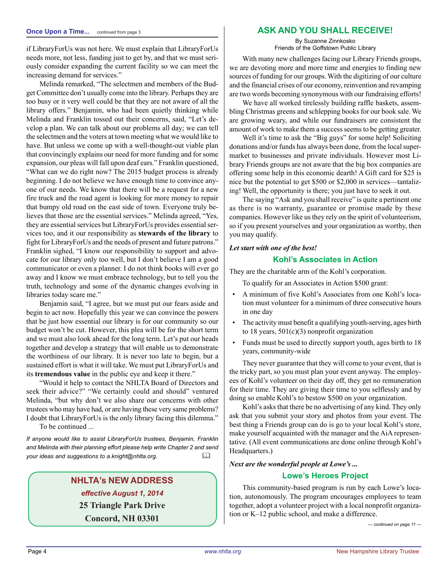if LibraryForUs was not here. We must explain that LibraryForUs needs more, not less, funding just to get by, and that we must seriously consider expanding the current facility so we can meet the increasing demand for services."

Melinda remarked, "The selectmen and members of the Budget Committee don't usually come into the library. Perhaps they are too busy or it very well could be that they are not aware of all the library offers." Benjamin, who had been quietly thinking while Melinda and Franklin tossed out their concerns, said, "Let's develop a plan. We can talk about our problems all day; we can tell the selectmen and the voters at town meeting what we would like to have. But unless we come up with a well-thought-out viable plan that convincingly explains our need for more funding and for some expansion, our pleas will fall upon deaf ears." Franklin questioned, "What can we do right now? The 2015 budget process is already beginning. I do not believe we have enough time to convince anyone of our needs. We know that there will be a request for a new fire truck and the road agent is looking for more money to repair that bumpy old road on the east side of town. Everyone truly believes that those are the essential services." Melinda agreed, "Yes, they are essential services but LibraryForUs provides essential services too, and it our responsibility as **stewards of the library** to fight for LibraryForUs and the needs of present and future patrons." Franklin sighed, "I know our responsibility to support and advocate for our library only too well, but I don't believe I am a good communicator or even a planner. I do not think books will ever go away and I know we must embrace technology, but to tell you the truth, technology and some of the dynamic changes evolving in libraries today scare me."

Benjamin said, "I agree, but we must put our fears aside and begin to act now. Hopefully this year we can convince the powers that be just how essential our library is for our community so our budget won't be cut. However, this plea will be for the short term and we must also look ahead for the long term. Let's put our heads together and develop a strategy that will enable us to demonstrate the worthiness of our library. It is never too late to begin, but a sustained effort is what it will take. We must put LibraryForUs and its **tremendous value** in the public eye and keep it there."

"Would it help to contact the NHLTA Board of Directors and seek their advice?" "We certainly could and should" ventured Melinda, "but why don't we also share our concerns with other trustees who may have had, or are having these very same problems? I doubt that LibraryForUs is the only library facing this dilemma."

To be continued ...

*If anyone would like to assist LibraryForUs trustees, Benjamin, Franklin and Melinda with their planning effort please help write Chapter 2 and send your ideas and suggestions to a.knight@nhlta.org.* 

### **NHLTA's NEW ADDRESS** *effective August 1, 2014* **25 Triangle Park Drive Concord, NH 03301**

### **Once Upon a Time...** continued from page 3 **ASK AND YOU SHALL RECEIVE!**

By Suzanne Zinnkosko Friends of the Goffstown Public Library

With many new challenges facing our Library Friends groups, we are devoting more and more time and energies to finding new sources of funding for our groups. With the digitizing of our culture and the financial crises of our economy, reinvention and revamping are two words becoming synonymous with our fundraising efforts!

We have all worked tirelessly building raffle baskets, assembling Christmas greens and schlepping books for our book sale. We are growing weary, and while our fundraisers are consistent the amount of work to make them a success seems to be getting greater.

Well it's time to ask the "Big guys" for some help! Soliciting donations and/or funds has always been done, from the local supermarket to businesses and private individuals. However most Library Friends groups are not aware that the big box companies are offering some help in this economic dearth! A Gift card for \$25 is nice but the potential to get \$500 or \$2,000 in services—tantalizing! Well, the opportunity is there; you just have to seek it out.

The saying "Ask and you shall receive" is quite a pertinent one as there is no warranty, guarantee or promise made by these companies. However like us they rely on the spirit of volunteerism, so if you present yourselves and your organization as worthy, then you may qualify.

### *Let start with one of the best!*

#### **Kohl's Associates in Action**

They are the charitable arm of the Kohl's corporation.

To qualify for an Associates in Action \$500 grant:

- A minimum of five Kohl's Associates from one Kohl's location must volunteer for a minimum of three consecutive hours in one day
- The activity must benefit a qualifying youth-serving, ages birth to 18 years, 501(c)(3) nonprofit organization
- Funds must be used to directly support youth, ages birth to 18 years, community-wide

They never guarantee that they will come to your event, that is the tricky part, so you must plan your event anyway. The employees of Kohl's volunteer on their day off, they get no remuneration for their time. They are giving their time to you selflessly and by doing so enable Kohl's to bestow \$500 on your organization.

Kohl's asks that there be no advertising of any kind. They only ask that you submit your story and photos from your event. The best thing a Friends group can do is go to your local Kohl's store, make yourself acquainted with the manager and the AiA representative. (All event communications are done online through Kohl's Headquarters.)

#### *Next are the wonderful people at Lowe's ...*

#### **Lowe's Heroes Project**

This community-based program is run by each Lowe's location, autonomously. The program encourages employees to team together, adopt a volunteer project with a local nonprofit organization or K–12 public school, and make a difference.

*— continued on page 11 —*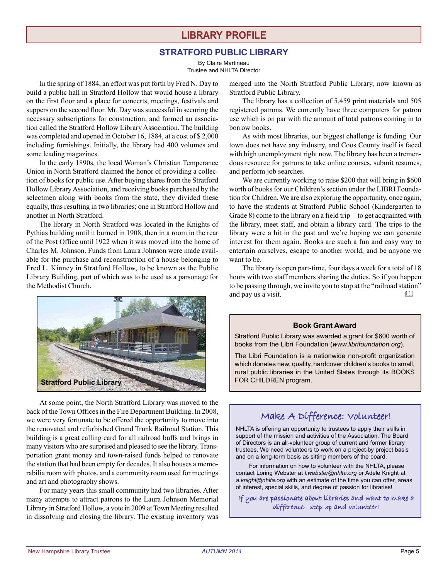### **LIBRARY PROFILE**

#### **STRATFORD PUBLIC LIBRARY**

By Claire Martineau Trustee and NHLTA Director

In the spring of 1884, an effort was put forth by Fred N. Day to build a public hall in Stratford Hollow that would house a library on the first floor and a place for concerts, meetings, festivals and suppers on the second floor. Mr. Day was successful in securing the necessary subscriptions for construction, and formed an association called the Stratford Hollow Library Association. The building was completed and opened in October 16, 1884, at a cost of \$ 2,000 including furnishings. Initially, the library had 400 volumes and some leading magazines.

In the early 1890s, the local Woman's Christian Temperance Union in North Stratford claimed the honor of providing a collection of books for public use. After buying shares from the Stratford Hollow Library Association, and receiving books purchased by the selectmen along with books from the state, they divided these equally, thus resulting in two libraries; one in Stratford Hollow and another in North Stratford.

The library in North Stratford was located in the Knights of Pythias building until it burned in 1908, then in a room in the rear of the Post Office until 1922 when it was moved into the home of Charles M. Johnson. Funds from Laura Johnson were made available for the purchase and reconstruction of a house belonging to Fred L. Kinney in Stratford Hollow, to be known as the Public Library Building, part of which was to be used as a parsonage for the Methodist Church.



At some point, the North Stratford Library was moved to the back of the Town Offices in the Fire Department Building. In 2008, we were very fortunate to be offered the opportunity to move into the renovated and refurbished Grand Trunk Railroad Station. This building is a great calling card for all railroad buffs and brings in many visitors who are surprised and pleased to see the library. Transportation grant money and town-raised funds helped to renovate the station that had been empty for decades. It also houses a memorabilia room with photos, and a community room used for meetings and art and photography shows.

For many years this small community had two libraries. After many attempts to attract patrons to the Laura Johnson Memorial Library in Stratford Hollow, a vote in 2009 at Town Meeting resulted in dissolving and closing the library. The existing inventory was merged into the North Stratford Public Library, now known as Stratford Public Library.

The library has a collection of 5,459 print materials and 505 registered patrons. We currently have three computers for patron use which is on par with the amount of total patrons coming in to borrow books.

As with most libraries, our biggest challenge is funding. Our town does not have any industry, and Coos County itself is faced with high unemployment right now. The library has been a tremendous resource for patrons to take online courses, submit resumes, and perform job searches.

We are currently working to raise \$200 that will bring in \$600 worth of books for our Children's section under the LIBRI Foundation for Children. We are also exploring the opportunity, once again, to have the students at Stratford Public School (Kindergarten to Grade 8) come to the library on a field trip—to get acquainted with the library, meet staff, and obtain a library card. The trips to the library were a hit in the past and we're hoping we can generate interest for them again. Books are such a fun and easy way to entertain ourselves, escape to another world, and be anyone we want to be.

The library is open part-time, four days a week for a total of 18 hours with two staff members sharing the duties. So if you happen to be passing through, we invite you to stop at the "railroad station" and pay us a visit.

#### **Book Grant Award**

Stratford Public Library was awarded a grant for \$600 worth of books from the Libri Foundation (*www.librifoundation.org*).

The Libri Foundation is a nationwide non-profit organization which donates new, quality, hardcover children's books to small, rural public libraries in the United States through its BOOKS FOR CHILDREN program.

### Make A Difference: Volunteer!

NHLTA is offering an opportunity to trustees to apply their skills in support of the mission and activities of the Association. The Board of Directors is an all-volunteer group of current and former library trustees. We need volunteers to work on a project-by project basis and on a long-term basis as sitting members of the board.

For information on how to volunteer with the NHLTA, please contact Loring Webster at *l.webster@nhlta.org* or Adele Knight at *a.knight@nhlta.org* with an estimate of the time you can offer, areas of interest, special skills, and degree of passion for libraries!

If you are passionate about libraries and want to make a difference—step up and volunteer!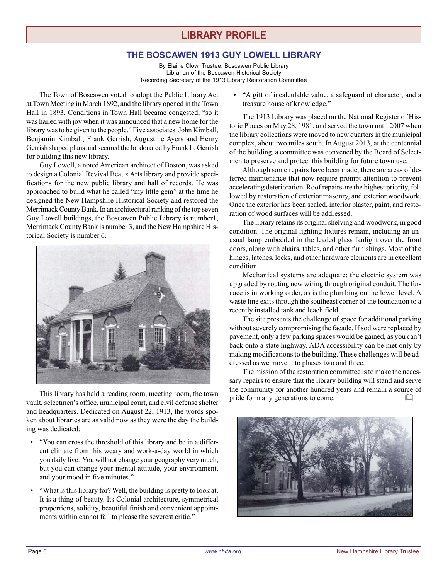### **LIBRARY PROFILE**

#### **THE BOSCAWEN 1913 GUY LOWELL LIBRARY**

By Elaine Clow, Trustee, Boscawen Public Library Librarian of the Boscawen Historical Society Recording Secretary of the 1913 Library Restoration Committee

The Town of Boscawen voted to adopt the Public Library Act at Town Meeting in March 1892, and the library opened in the Town Hall in 1893. Conditions in Town Hall became congested, "so it was hailed with joy when it was announced that a new home for the library was to be given to the people." Five associates: John Kimball, Benjamin Kimball, Frank Gerrish, Augustine Ayers and Henry Gerrish shaped plans and secured the lot donated by Frank L. Gerrish for building this new library.

Guy Lowell, a noted American architect of Boston, was asked to design a Colonial Revival Beaux Arts library and provide specifications for the new public library and hall of records. He was approached to build what he called "my little gem" at the time he designed the New Hampshire Historical Society and restored the Merrimack County Bank. In an architectural ranking of the top seven Guy Lowell buildings, the Boscawen Public Library is number1, Merrimack County Bank is number 3, and the New Hampshire Historical Society is number 6.



This library has held a reading room, meeting room, the town vault, selectmen's office, municipal court, and civil defense shelter and headquarters. Dedicated on August 22, 1913, the words spoken about libraries are as valid now as they were the day the building was dedicated:

- "You can cross the threshold of this library and be in a different climate from this weary and work-a-day world in which you daily live. You will not change your geography very much, but you can change your mental attitude, your environment, and your mood in five minutes."
- "What is this library for? Well, the building is pretty to look at. It is a thing of beauty. Its Colonial architecture, symmetrical proportions, solidity, beautiful finish and convenient appointments within cannot fail to please the severest critic."

• "A gift of incalculable value, a safeguard of character, and a treasure house of knowledge."

The 1913 Library was placed on the National Register of Historic Places on May 28, 1981, and served the town until 2007 when the library collections were moved to new quarters in the municipal complex, about two miles south. In August 2013, at the centennial of the building, a committee was convened by the Board of Selectmen to preserve and protect this building for future town use.

Although some repairs have been made, there are areas of deferred maintenance that now require prompt attention to prevent accelerating deterioration. Roof repairs are the highest priority, followed by restoration of exterior masonry, and exterior woodwork. Once the exterior has been sealed, interior plaster, paint, and restoration of wood surfaces will be addressed.

The library retains its original shelving and woodwork, in good condition. The original lighting fixtures remain, including an unusual lamp embedded in the leaded glass fanlight over the front doors, along with chairs, tables, and other furnishings. Most of the hinges, latches, locks, and other hardware elements are in excellent condition.

Mechanical systems are adequate; the electric system was upgraded by routing new wiring through original conduit. The furnace is in working order, as is the plumbing on the lower level. A waste line exits through the southeast corner of the foundation to a recently installed tank and leach field.

The site presents the challenge of space for additional parking without severely compromising the facade. If sod were replaced by pavement, only a few parking spaces would be gained, as you can't back onto a state highway. ADA accessibility can be met only by making modifications to the building. These challenges will be addressed as we move into phases two and three.

The mission of the restoration committee is to make the necessary repairs to ensure that the library building will stand and serve the community for another hundred years and remain a source of pride for many generations to come.

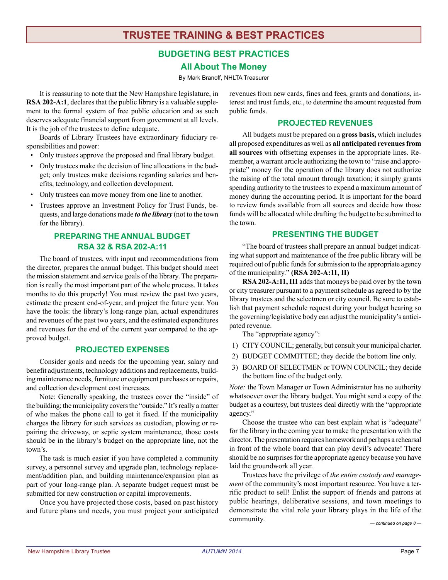### **TRUSTEE TRAINING & BEST PRACTICES**

### **BUDGETING BEST PRACTICES All About The Money**

By Mark Branoff, NHLTA Treasurer

It is reassuring to note that the New Hampshire legislature, in **RSA 202-A:1**, declares that the public library is a valuable supplement to the formal system of free public education and as such deserves adequate financial support from government at all levels. It is the job of the trustees to define adequate.

Boards of Library Trustees have extraordinary fiduciary responsibilities and power:

- Only trustees approve the proposed and final library budget.
- Only trustees make the decision of line allocations in the budget; only trustees make decisions regarding salaries and benefits, technology, and collection development.
- Only trustees can move money from one line to another.
- Trustees approve an Investment Policy for Trust Funds, bequests, and large donations made *to the library* (not to the town for the library).

#### **PREPARING THE ANNUAL BUDGET RSA 32 & RSA 202-A:11**

The board of trustees, with input and recommendations from the director, prepares the annual budget. This budget should meet the mission statement and service goals of the library. The preparation is really the most important part of the whole process. It takes months to do this properly! You must review the past two years, estimate the present end-of-year, and project the future year. You have the tools: the library's long-range plan, actual expenditures and revenues of the past two years, and the estimated expenditures and revenues for the end of the current year compared to the approved budget.

#### **PROJECTED EXPENSES**

Consider goals and needs for the upcoming year, salary and benefit adjustments, technology additions and replacements, building maintenance needs, furniture or equipment purchases or repairs, and collection development cost increases.

Note: Generally speaking, the trustees cover the "inside" of the building; the municipality covers the "outside." It's really a matter of who makes the phone call to get it fixed. If the municipality charges the library for such services as custodian, plowing or repairing the driveway, or septic system maintenance, those costs should be in the library's budget on the appropriate line, not the town's.

The task is much easier if you have completed a community survey, a personnel survey and upgrade plan, technology replacement/addition plan, and building maintenance/expansion plan as part of your long-range plan. A separate budget request must be submitted for new construction or capital improvements.

Once you have projected those costs, based on past history and future plans and needs, you must project your anticipated revenues from new cards, fines and fees, grants and donations, interest and trust funds, etc., to determine the amount requested from public funds.

#### **PROJECTED REVENUES**

All budgets must be prepared on a **gross basis,** which includes all proposed expenditures as well as **all anticipated revenues from all sources** with offsetting expenses in the appropriate lines. Remember, a warrant article authorizing the town to "raise and appropriate" money for the operation of the library does not authorize the raising of the total amount through taxation; it simply grants spending authority to the trustees to expend a maximum amount of money during the accounting period. It is important for the board to review funds available from all sources and decide how those funds will be allocated while drafting the budget to be submitted to the town.

#### **PRESENTING THE BUDGET**

"The board of trustees shall prepare an annual budget indicating what support and maintenance of the free public library will be required out of public funds for submission to the appropriate agency of the municipality." **(RSA 202-A:11, II)**

**RSA 202-A:11, III** adds that moneys be paid over by the town or city treasurer pursuant to a payment schedule as agreed to by the library trustees and the selectmen or city council. Be sure to establish that payment schedule request during your budget hearing so the governing/legislative body can adjust the municipality's anticipated revenue.

The "appropriate agency":

- 1) CITY COUNCIL; generally, but consult your municipal charter.
- 2) BUDGET COMMITTEE; they decide the bottom line only.
- 3) BOARD OF SELECTMEN or TOWN COUNCIL; they decide the bottom line of the budget only.

*Note:* the Town Manager or Town Administrator has no authority whatsoever over the library budget. You might send a copy of the budget as a courtesy, but trustees deal directly with the "appropriate agency."

Choose the trustee who can best explain what is "adequate" for the library in the coming year to make the presentation with the director. The presentation requires homework and perhaps a rehearsal in front of the whole board that can play devil's advocate! There should be no surprises for the appropriate agency because you have laid the groundwork all year.

Trustees have the privilege of *the entire custody and management* of the community's most important resource. You have a terrific product to sell! Enlist the support of friends and patrons at public hearings, deliberative sessions, and town meetings to demonstrate the vital role your library plays in the life of the community.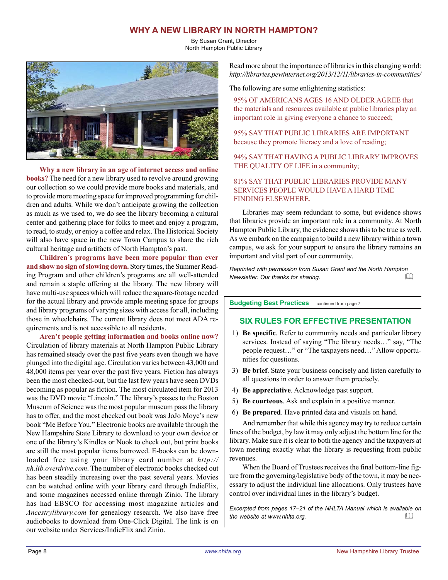### **WHY A NEW LIBRARY IN NORTH HAMPTON?**

By Susan Grant, Director North Hampton Public Library



**Why a new library in an age of internet access and online books?** The need for a new library used to revolve around growing our collection so we could provide more books and materials, and to provide more meeting space for improved programming for children and adults. While we don't anticipate growing the collection as much as we used to, we do see the library becoming a cultural center and gathering place for folks to meet and enjoy a program, to read, to study, or enjoy a coffee and relax. The Historical Society will also have space in the new Town Campus to share the rich cultural heritage and artifacts of North Hampton's past.

**Children's programs have been more popular than ever and show no sign of slowing down.** Story times, the Summer Reading Program and other children's programs are all well-attended and remain a staple offering at the library. The new library will have multi-use spaces which will reduce the square-footage needed for the actual library and provide ample meeting space for groups and library programs of varying sizes with access for all, including those in wheelchairs. The current library does not meet ADA requirements and is not accessible to all residents.

**Aren't people getting information and books online now?** Circulation of library materials at North Hampton Public Library has remained steady over the past five years even though we have plunged into the digital age. Circulation varies between 43,000 and 48,000 items per year over the past five years. Fiction has always been the most checked-out, but the last few years have seen DVDs becoming as popular as fiction. The most circulated item for 2013 was the DVD movie "Lincoln." The library's passes to the Boston Museum of Science was the most popular museum pass the library has to offer, and the most checked out book was JoJo Moye's new book "Me Before You." Electronic books are available through the New Hampshire State Library to download to your own device or one of the library's Kindles or Nook to check out, but print books are still the most popular items borrowed. E-books can be downloaded free using your library card number at *http:// nh.lib.overdrive.com*. The number of electronic books checked out has been steadily increasing over the past several years. Movies can be watched online with your library card through IndieFlix, and some magazines accessed online through Zinio. The library has had EBSCO for accessing most magazine articles and *Ancestrylibrary.com* for genealogy research. We also have free audiobooks to download from One-Click Digital. The link is on our website under Services/IndieFlix and Zinio.

Read more about the importance of libraries in this changing world: *http://libraries.pewinternet.org/2013/12/11/libraries-in-communities/*

The following are some enlightening statistics:

95% OF AMERICANS AGES 16 AND OLDER AGREE that the materials and resources available at public libraries play an important role in giving everyone a chance to succeed;

95% SAY THAT PUBLIC LIBRARIES ARE IMPORTANT because they promote literacy and a love of reading;

94% SAY THAT HAVING A PUBLIC LIBRARY IMPROVES THE QUALITY OF LIFE in a community;

#### 81% SAY THAT PUBLIC LIBRARIES PROVIDE MANY SERVICES PEOPLE WOULD HAVE A HARD TIME FINDING ELSEWHERE.

Libraries may seem redundant to some, but evidence shows that libraries provide an important role in a community. At North Hampton Public Library, the evidence shows this to be true as well. As we embark on the campaign to build a new library within a town campus, we ask for your support to ensure the library remains an important and vital part of our community.

*Reprinted with permission from Susan Grant and the North Hampton Newsletter. Our thanks for sharing.* 

**Budgeting Best Practices** continued from page 7

#### **SIX RULES FOR EFFECTIVE PRESENTATION**

- 1) **Be specific**. Refer to community needs and particular library services. Instead of saying "The library needs…" say, "The people request…" or "The taxpayers need…" Allow opportunities for questions.
- 3) **Be brief**. State your business concisely and listen carefully to all questions in order to answer them precisely.
- 4) **Be appreciative**. Acknowledge past support.
- 5) **Be courteous**. Ask and explain in a positive manner.
- 6) **Be prepared**. Have printed data and visuals on hand.

And remember that while this agency may try to reduce certain lines of the budget, by law it may only adjust the bottom line for the library. Make sure it is clear to both the agency and the taxpayers at town meeting exactly what the library is requesting from public revenues.

When the Board of Trustees receives the final bottom-line figure from the governing/legislative body of the town, it may be necessary to adjust the individual line allocations. Only trustees have control over individual lines in the library's budget.

*Excerpted from pages 17–21 of the NHLTA Manual which is available on the website at www.nhlta.org.*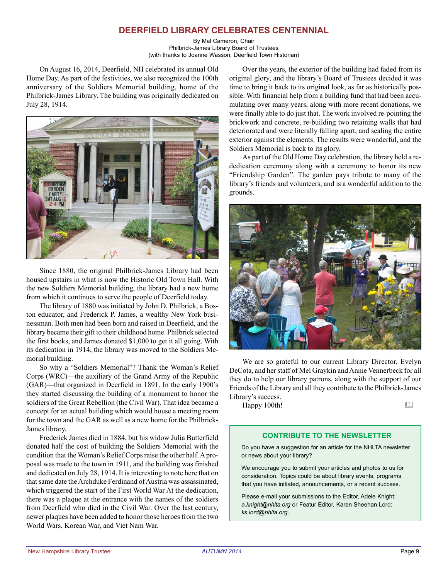### **DEERFIELD LIBRARY CELEBRATES CENTENNIAL**

By Mal Cameron, Chair Philbrick-James Library Board of Trustees (with thanks to Joanne Wasson, Deerfield Town Historian)

On August 16, 2014, Deerfield, NH celebrated its annual Old Home Day. As part of the festivities, we also recognized the 100th anniversary of the Soldiers Memorial building, home of the Philbrick-James Library. The building was originally dedicated on July 28, 1914.



Since 1880, the original Philbrick-James Library had been housed upstairs in what is now the Historic Old Town Hall. With the new Soldiers Memorial building, the library had a new home from which it continues to serve the people of Deerfield today.

The library of 1880 was initiated by John D. Philbrick, a Boston educator, and Frederick P. James, a wealthy New York businessman. Both men had been born and raised in Deerfield, and the library became their gift to their childhood home. Philbrick selected the first books, and James donated \$1,000 to get it all going. With its dedication in 1914, the library was moved to the Soldiers Memorial building.

So why a "Soldiers Memorial"? Thank the Woman's Relief Corps (WRC)—the auxiliary of the Grand Army of the Republic (GAR)—that organized in Deerfield in 1891. In the early 1900's they started discussing the building of a monument to honor the soldiers of the Great Rebellion (the Civil War). That idea became a concept for an actual building which would house a meeting room for the town and the GAR as well as a new home for the Philbrick-James library.

Frederick James died in 1884, but his widow Julia Butterfield donated half the cost of building the Soldiers Memorial with the condition that the Woman's Relief Corps raise the other half. A proposal was made to the town in 1911, and the building was finished and dedicated on July 28, 1914. It is interesting to note here that on that same date the Archduke Ferdinand of Austria was assassinated, which triggered the start of the First World War At the dedication, there was a plaque at the entrance with the names of the soldiers from Deerfield who died in the Civil War. Over the last century, newer plaques have been added to honor those heroes from the two World Wars, Korean War, and Viet Nam War.

Over the years, the exterior of the building had faded from its original glory, and the library's Board of Trustees decided it was time to bring it back to its original look, as far as historically possible. With financial help from a building fund that had been accumulating over many years, along with more recent donations, we were finally able to do just that. The work involved re-pointing the brickwork and concrete, re-building two retaining walls that had deteriorated and were literally falling apart, and sealing the entire exterior against the elements. The results were wonderful, and the Soldiers Memorial is back to its glory.

As part of the Old Home Day celebration, the library held a rededication ceremony along with a ceremony to honor its new "Friendship Garden". The garden pays tribute to many of the library's friends and volunteers, and is a wonderful addition to the grounds.



We are so grateful to our current Library Director, Evelyn DeCota, and her staff of Mel Graykin and Annie Vennerbeck for all they do to help our library patrons, along with the support of our Friends of the Library and all they contribute to the Philbrick-James Library's success.

Happy 100th!

#### **CONTRIBUTE TO THE NEWSLETTER**

Do you have a suggestion for an article for the NHLTA newsletter or news about your library?

We encourage you to submit your articles and photos to us for consideration. Topics could be about library events, programs that you have initiated, announcements, or a recent success.

Please e-mail your submissions to the Editor, Adele Knight: *a.knight@nhlta.org* or Featur Editor, Karen Sheehan Lord: *ks.lord@nhlta.org*.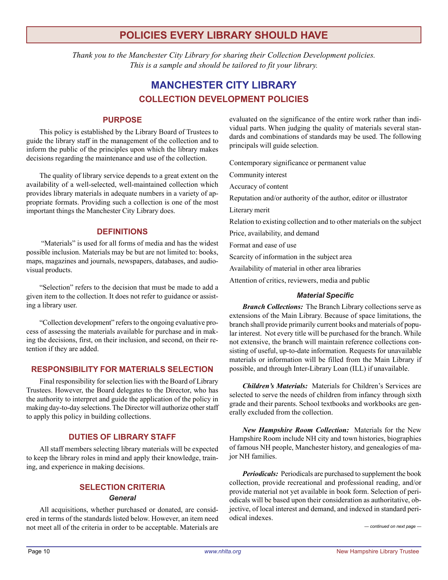### **POLICIES EVERY LIBRARY SHOULD HAVE**

*Thank you to the Manchester City Library for sharing their Collection Development policies. This is a sample and should be tailored to fit your library.*

### **MANCHESTER CITY LIBRARY COLLECTION DEVELOPMENT POLICIES**

#### **PURPOSE**

This policy is established by the Library Board of Trustees to guide the library staff in the management of the collection and to inform the public of the principles upon which the library makes decisions regarding the maintenance and use of the collection.

The quality of library service depends to a great extent on the availability of a well-selected, well-maintained collection which provides library materials in adequate numbers in a variety of appropriate formats. Providing such a collection is one of the most important things the Manchester City Library does.

#### **DEFINITIONS**

 "Materials" is used for all forms of media and has the widest possible inclusion. Materials may be but are not limited to: books, maps, magazines and journals, newspapers, databases, and audiovisual products.

"Selection" refers to the decision that must be made to add a given item to the collection. It does not refer to guidance or assisting a library user.

"Collection development" refers to the ongoing evaluative process of assessing the materials available for purchase and in making the decisions, first, on their inclusion, and second, on their retention if they are added.

#### **RESPONSIBILITY FOR MATERIALS SELECTION**

Final responsibility for selection lies with the Board of Library Trustees. However, the Board delegates to the Director, who has the authority to interpret and guide the application of the policy in making day-to-day selections. The Director will authorize other staff to apply this policy in building collections.

#### **DUTIES OF LIBRARY STAFF**

All staff members selecting library materials will be expected to keep the library roles in mind and apply their knowledge, training, and experience in making decisions.

#### **SELECTION CRITERIA**

#### *General*

All acquisitions, whether purchased or donated, are considered in terms of the standards listed below. However, an item need not meet all of the criteria in order to be acceptable. Materials are

evaluated on the significance of the entire work rather than individual parts. When judging the quality of materials several standards and combinations of standards may be used. The following principals will guide selection.

Contemporary significance or permanent value

Community interest

Accuracy of content

Reputation and/or authority of the author, editor or illustrator

Literary merit

Relation to existing collection and to other materials on the subject

Price, availability, and demand

Format and ease of use

Scarcity of information in the subject area

Availability of material in other area libraries

Attention of critics, reviewers, media and public

#### *Material Specific*

*Branch Collections:* The Branch Library collections serve as extensions of the Main Library. Because of space limitations, the branch shall provide primarily current books and materials of popular interest. Not every title will be purchased for the branch. While not extensive, the branch will maintain reference collections consisting of useful, up-to-date information. Requests for unavailable materials or information will be filled from the Main Library if possible, and through Inter-Library Loan (ILL) if unavailable.

*Children's Materials:* Materials for Children's Services are selected to serve the needs of children from infancy through sixth grade and their parents. School textbooks and workbooks are generally excluded from the collection.

*New Hampshire Room Collection:* Materials for the New Hampshire Room include NH city and town histories, biographies of famous NH people, Manchester history, and genealogies of major NH families.

*Periodicals:* Periodicals are purchased to supplement the book collection, provide recreational and professional reading, and/or provide material not yet available in book form. Selection of periodicals will be based upon their consideration as authoritative, objective, of local interest and demand, and indexed in standard periodical indexes.

*— continued on next page —*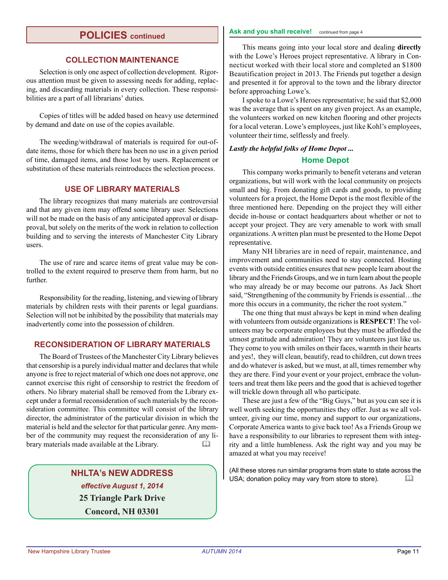### **POLICIES continued**

#### **COLLECTION MAINTENANCE**

Selection is only one aspect of collection development. Rigorous attention must be given to assessing needs for adding, replacing, and discarding materials in every collection. These responsibilities are a part of all librarians' duties.

Copies of titles will be added based on heavy use determined by demand and date on use of the copies available.

The weeding/withdrawal of materials is required for out-ofdate items, those for which there has been no use in a given period of time, damaged items, and those lost by users. Replacement or substitution of these materials reintroduces the selection process.

#### **USE OF LIBRARY MATERIALS**

The library recognizes that many materials are controversial and that any given item may offend some library user. Selections will not be made on the basis of any anticipated approval or disapproval, but solely on the merits of the work in relation to collection building and to serving the interests of Manchester City Library users.

The use of rare and scarce items of great value may be controlled to the extent required to preserve them from harm, but no further.

Responsibility for the reading, listening, and viewing of library materials by children rests with their parents or legal guardians. Selection will not be inhibited by the possibility that materials may inadvertently come into the possession of children.

#### **RECONSIDERATION OF LIBRARY MATERIALS**

The Board of Trustees of the Manchester City Library believes that censorship is a purely individual matter and declares that while anyone is free to reject material of which one does not approve, one cannot exercise this right of censorship to restrict the freedom of others. No library material shall be removed from the Library except under a formal reconsideration of such materials by the reconsideration committee. This committee will consist of the library director, the administrator of the particular division in which the material is held and the selector for that particular genre. Any member of the community may request the reconsideration of any library materials made available at the Library. 

### **NHLTA's NEW ADDRESS** *effective August 1, 2014* **25 Triangle Park Drive Concord, NH 03301**

#### Ask and you shall receive! continued from page 4

This means going into your local store and dealing **directly** with the Lowe's Heroes project representative. A library in Connecticut worked with their local store and completed an \$1800 Beautification project in 2013. The Friends put together a design and presented it for approval to the town and the library director before approaching Lowe's.

I spoke to a Lowe's Heroes representative; he said that \$2,000 was the average that is spent on any given project. As an example, the volunteers worked on new kitchen flooring and other projects for a local veteran. Lowe's employees, just like Kohl's employees, volunteer their time, selflessly and freely.

#### *Lastly the helpful folks of Home Depot ...* **Home Depot**

This company works primarily to benefit veterans and veteran organizations, but will work with the local community on projects small and big. From donating gift cards and goods, to providing volunteers for a project, the Home Depot is the most flexible of the three mentioned here. Depending on the project they will either decide in-house or contact headquarters about whether or not to accept your project. They are very amenable to work with small organizations. A written plan must be presented to the Home Depot representative.

Many NH libraries are in need of repair, maintenance, and improvement and communities need to stay connected. Hosting events with outside entities ensures that new people learn about the library and the Friends Groups, and we in turn learn about the people who may already be or may become our patrons. As Jack Short said, "Strengthening of the community by Friends is essential…the more this occurs in a community, the richer the root system."

The one thing that must always be kept in mind when dealing with volunteers from outside organizations is **RESPECT**! The volunteers may be corporate employees but they must be afforded the utmost gratitude and admiration! They are volunteers just like us. They come to you with smiles on their faces, warmth in their hearts and yes!, they will clean, beautify, read to children, cut down trees and do whatever is asked, but we must, at all, times remember why they are there. Find your event or your project, embrace the volunteers and treat them like peers and the good that is achieved together will trickle down through all who participate.

These are just a few of the "Big Guys," but as you can see it is well worth seeking the opportunities they offer. Just as we all volunteer, giving our time, money and support to our organizations, Corporate America wants to give back too! As a Friends Group we have a responsibility to our libraries to represent them with integrity and a little humbleness. Ask the right way and you may be amazed at what you may receive!

(All these stores run similar programs from state to state across the USA; donation policy may vary from store to store).  $\Box$